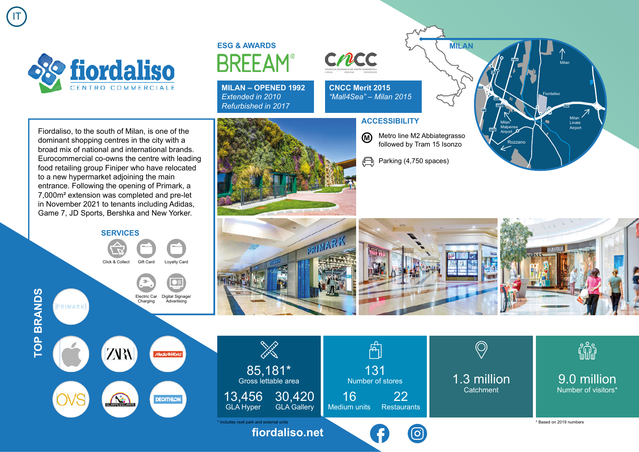

IT

**TOP BRANDS**

**TOP BRANDS** 

## **ESG & AWARDS BRFFAM**

**MILAN – OPENED 1992** *Extended in 2010 Refurbished in 2017*

**CNCC** 

**CNCC Merit 2015** *"Mall4Sea" – Milan 2015*

Fiordaliso, to the south of Milan, is one of the dominant shopping centres in the city with a broad mix of national and international brands. Eurocommercial co-owns the centre with leading food retailing group Finiper who have relocated to a new hypermarket adjoining the main entrance. Following the opening of Primark, a 7,000m² extension was completed and pre-let in November 2021 to tenants including Adidas, Game 7, JD Sports, Bershka and New Yorker.



Metro line M2 Abbiategrasso followed by Tram 15 Isonzo

**MILAN**

**A50**

**A7**

Fiordaliso

Milan

Milan Linate Airport

Rozzano

**SP35**

Milan Malpensa Airport

**SS35**

**A7**

**ACCESSIBILITY**

<u>ଲ</u>